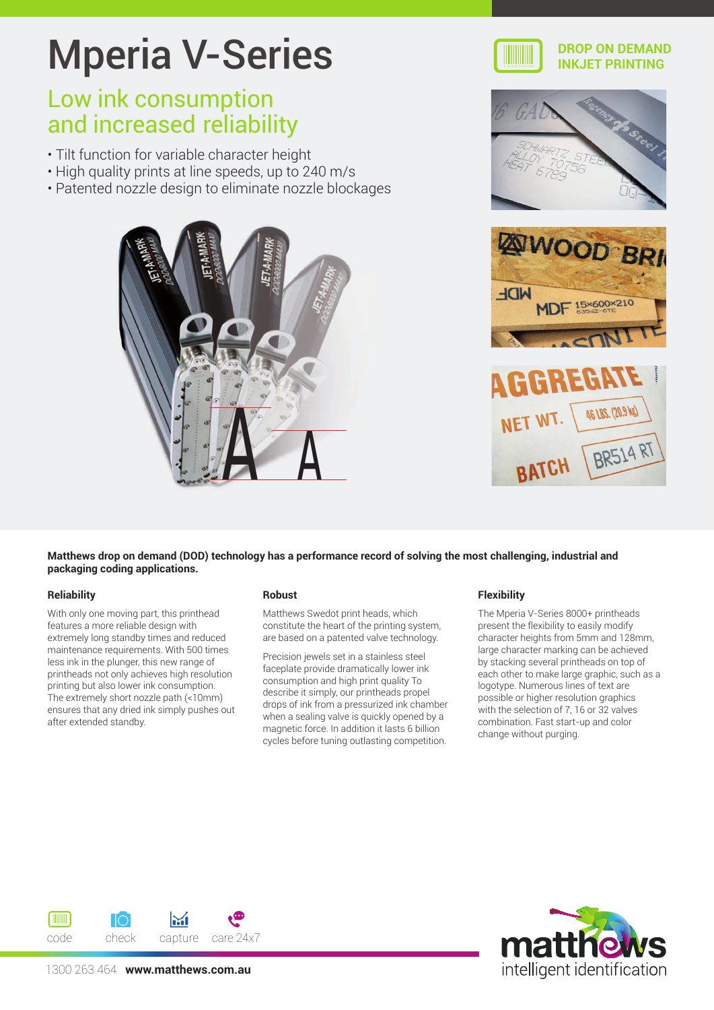# Mperia V-Series

## Low ink consumption and increased reliability

- Tilt function for variable character height
- High quality prints at line speeds, up to 240 m/s
- Patented nozzle design to eliminate nozzle blockages





#### **DROP ON DEMAND INKJET PRINTING**





**Matthews drop on demand (DOD) technology has a performance record of solving the most challenging, industrial and packaging coding applications.**

#### **Reliability**

With only one moving part, this printhead features a more reliable design with extremely long standby times and reduced maintenance requirements. With 500 times less ink in the plunger, this new range of printheads not only achieves high resolution printing but also lower ink consumption. The extremely short nozzle path (<10mm) ensures that any dried ink simply pushes out after extended standby.

#### **Robust**

Matthews Swedot print heads, which constitute the heart of the printing system, are based on a patented valve technology.

Precision jewels set in a stainless steel faceplate provide dramatically lower ink consumption and high print quality To describe it simply, our printheads propel drops of ink from a pressurized ink chamber when a sealing valve is quickly opened by a magnetic force. In addition it lasts 6 billion cycles before tuning outlasting competition.

#### **Flexibility**

The Mperia V-Series 8000+ printheads present the flexibility to easily modify character heights from 5mm and 128mm, large character marking can be achieved by stacking several printheads on top of each other to make large graphic, such as a logotype. Numerous lines of text are possible or higher resolution graphics with the selection of 7, 16 or 32 valves combination. Fast start-up and color change without purging.